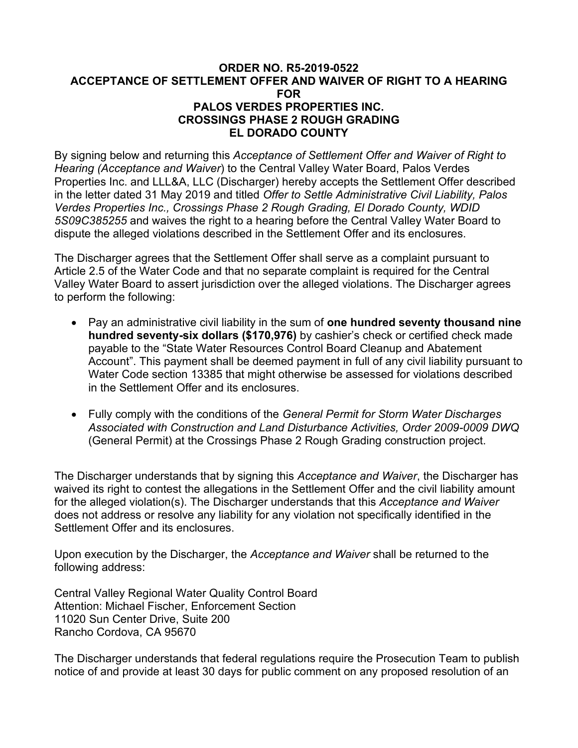#### **ORDER NO. R5-2019-0522 ACCEPTANCE OF SETTLEMENT OFFER AND WAIVER OF RIGHT TO A HEARING FOR PALOS VERDES PROPERTIES INC. CROSSINGS PHASE 2 ROUGH GRADING EL DORADO COUNTY**

By signing below and returning this *Acceptance of Settlement Offer and Waiver of Right to Hearing (Acceptance and Waiver*) to the Central Valley Water Board, Palos Verdes Properties Inc. and LLL&A, LLC (Discharger) hereby accepts the Settlement Offer described in the letter dated 31 May 2019 and titled *Offer to Settle Administrative Civil Liability, Palos Verdes Properties Inc., Crossings Phase 2 Rough Grading, El Dorado County, WDID 5S09C385255* and waives the right to a hearing before the Central Valley Water Board to dispute the alleged violations described in the Settlement Offer and its enclosures.

The Discharger agrees that the Settlement Offer shall serve as a complaint pursuant to Article 2.5 of the Water Code and that no separate complaint is required for the Central Valley Water Board to assert jurisdiction over the alleged violations. The Discharger agrees to perform the following:

- · Pay an administrative civil liability in the sum of **one hundred seventy thousand nine hundred seventy-six dollars (\$170,976)** by cashier's check or certified check made payable to the "State Water Resources Control Board Cleanup and Abatement Account". This payment shall be deemed payment in full of any civil liability pursuant to Water Code section 13385 that might otherwise be assessed for violations described in the Settlement Offer and its enclosures.
- · Fully comply with the conditions of the *General Permit for Storm Water Discharges Associated with Construction and Land Disturbance Activities, Order 2009-0009 DWQ* (General Permit) at the Crossings Phase 2 Rough Grading construction project.

The Discharger understands that by signing this *Acceptance and Waiver*, the Discharger has waived its right to contest the allegations in the Settlement Offer and the civil liability amount for the alleged violation(s). The Discharger understands that this *Acceptance and Waiver* does not address or resolve any liability for any violation not specifically identified in the Settlement Offer and its enclosures.

Upon execution by the Discharger, the *Acceptance and Waiver* shall be returned to the following address:

Central Valley Regional Water Quality Control Board Attention: Michael Fischer, Enforcement Section 11020 Sun Center Drive, Suite 200 Rancho Cordova, CA 95670

The Discharger understands that federal regulations require the Prosecution Team to publish notice of and provide at least 30 days for public comment on any proposed resolution of an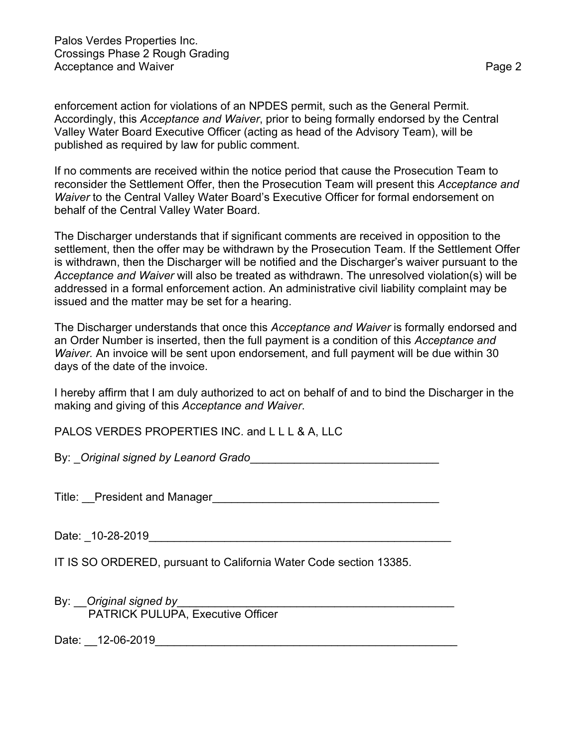Palos Verdes Properties Inc. Crossings Phase 2 Rough Grading Acceptance and Waiver **Page 2** 

enforcement action for violations of an NPDES permit, such as the General Permit. Accordingly, this *Acceptance and Waiver*, prior to being formally endorsed by the Central Valley Water Board Executive Officer (acting as head of the Advisory Team), will be published as required by law for public comment.

If no comments are received within the notice period that cause the Prosecution Team to reconsider the Settlement Offer, then the Prosecution Team will present this *Acceptance and Waiver* to the Central Valley Water Board's Executive Officer for formal endorsement on behalf of the Central Valley Water Board.

The Discharger understands that if significant comments are received in opposition to the settlement, then the offer may be withdrawn by the Prosecution Team. If the Settlement Offer is withdrawn, then the Discharger will be notified and the Discharger's waiver pursuant to the *Acceptance and Waiver* will also be treated as withdrawn. The unresolved violation(s) will be addressed in a formal enforcement action. An administrative civil liability complaint may be issued and the matter may be set for a hearing.

The Discharger understands that once this *Acceptance and Waiver* is formally endorsed and an Order Number is inserted, then the full payment is a condition of this *Acceptance and Waiver.* An invoice will be sent upon endorsement, and full payment will be due within 30 days of the date of the invoice.

I hereby affirm that I am duly authorized to act on behalf of and to bind the Discharger in the making and giving of this *Acceptance and Waiver*.

PALOS VERDES PROPERTIES INC. and LLL & A, LLC

By: \_*Original signed by Leanord Grado*\_\_\_\_\_\_\_\_\_\_\_\_\_\_\_\_\_\_\_\_\_\_\_\_\_\_\_\_\_\_

Title: President and Manager

Date: \_10-28-2019\_\_\_\_\_\_\_\_\_\_\_\_\_\_\_\_\_\_\_\_\_\_\_\_\_\_\_\_\_\_\_\_\_\_\_\_\_\_\_\_\_\_\_\_\_\_\_\_

IT IS SO ORDERED, pursuant to California Water Code section 13385.

By: **Original signed by Example 20** and the contract of the contract of the contract of the contract of the contract of the contract of the contract of the contract of the contract of the contract of the contract of the PATRICK PULUPA, Executive Officer

Date: 12-06-2019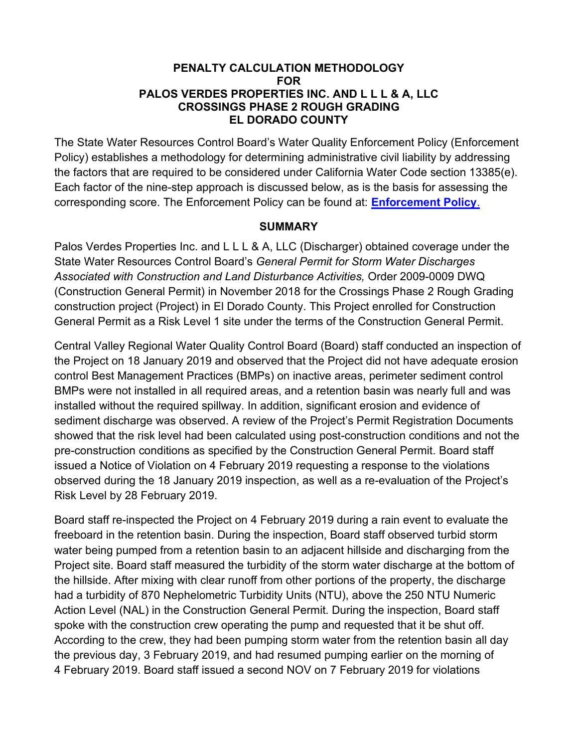### **PENALTY CALCULATION METHODOLOGY FOR PALOS VERDES PROPERTIES INC. AND L L L & A, LLC CROSSINGS PHASE 2 ROUGH GRADING EL DORADO COUNTY**

The State Water Resources Control Board's Water Quality Enforcement Policy (Enforcement Policy) establishes a methodology for determining administrative civil liability by addressing the factors that are required to be considered under California Water Code section 13385(e). Each factor of the nine-step approach is discussed below, as is the basis for assessing the corresponding score. The Enforcement Policy can be found at: **[Enforcement Policy](https://www.waterboards.ca.gov/board_decisions/adopted_orders/resolutions/2017/040417_9_final adopted policy.pdf)**.

### **SUMMARY**

Palos Verdes Properties Inc. and L L L & A, LLC (Discharger) obtained coverage under the State Water Resources Control Board's *General Permit for Storm Water Discharges Associated with Construction and Land Disturbance Activities,* Order 2009-0009 DWQ (Construction General Permit) in November 2018 for the Crossings Phase 2 Rough Grading construction project (Project) in El Dorado County. This Project enrolled for Construction General Permit as a Risk Level 1 site under the terms of the Construction General Permit.

Central Valley Regional Water Quality Control Board (Board) staff conducted an inspection of the Project on 18 January 2019 and observed that the Project did not have adequate erosion control Best Management Practices (BMPs) on inactive areas, perimeter sediment control BMPs were not installed in all required areas, and a retention basin was nearly full and was installed without the required spillway. In addition, significant erosion and evidence of sediment discharge was observed. A review of the Project's Permit Registration Documents showed that the risk level had been calculated using post-construction conditions and not the pre-construction conditions as specified by the Construction General Permit. Board staff issued a Notice of Violation on 4 February 2019 requesting a response to the violations observed during the 18 January 2019 inspection, as well as a re-evaluation of the Project's Risk Level by 28 February 2019.

Board staff re-inspected the Project on 4 February 2019 during a rain event to evaluate the freeboard in the retention basin. During the inspection, Board staff observed turbid storm water being pumped from a retention basin to an adjacent hillside and discharging from the Project site. Board staff measured the turbidity of the storm water discharge at the bottom of the hillside. After mixing with clear runoff from other portions of the property, the discharge had a turbidity of 870 Nephelometric Turbidity Units (NTU), above the 250 NTU Numeric Action Level (NAL) in the Construction General Permit. During the inspection, Board staff spoke with the construction crew operating the pump and requested that it be shut off. According to the crew, they had been pumping storm water from the retention basin all day the previous day, 3 February 2019, and had resumed pumping earlier on the morning of 4 February 2019. Board staff issued a second NOV on 7 February 2019 for violations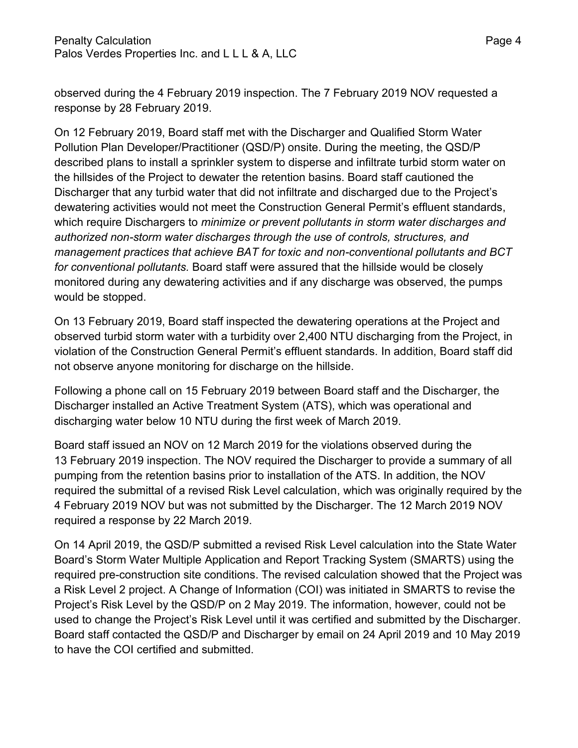observed during the 4 February 2019 inspection. The 7 February 2019 NOV requested a response by 28 February 2019.

On 12 February 2019, Board staff met with the Discharger and Qualified Storm Water Pollution Plan Developer/Practitioner (QSD/P) onsite. During the meeting, the QSD/P described plans to install a sprinkler system to disperse and infiltrate turbid storm water on the hillsides of the Project to dewater the retention basins. Board staff cautioned the Discharger that any turbid water that did not infiltrate and discharged due to the Project's dewatering activities would not meet the Construction General Permit's effluent standards, which require Dischargers to *minimize or prevent pollutants in storm water discharges and authorized non-storm water discharges through the use of controls, structures, and management practices that achieve BAT for toxic and non-conventional pollutants and BCT for conventional pollutants.* Board staff were assured that the hillside would be closely monitored during any dewatering activities and if any discharge was observed, the pumps would be stopped.

On 13 February 2019, Board staff inspected the dewatering operations at the Project and observed turbid storm water with a turbidity over 2,400 NTU discharging from the Project, in violation of the Construction General Permit's effluent standards. In addition, Board staff did not observe anyone monitoring for discharge on the hillside.

Following a phone call on 15 February 2019 between Board staff and the Discharger, the Discharger installed an Active Treatment System (ATS), which was operational and discharging water below 10 NTU during the first week of March 2019.

Board staff issued an NOV on 12 March 2019 for the violations observed during the 13 February 2019 inspection. The NOV required the Discharger to provide a summary of all pumping from the retention basins prior to installation of the ATS. In addition, the NOV required the submittal of a revised Risk Level calculation, which was originally required by the 4 February 2019 NOV but was not submitted by the Discharger. The 12 March 2019 NOV required a response by 22 March 2019.

On 14 April 2019, the QSD/P submitted a revised Risk Level calculation into the State Water Board's Storm Water Multiple Application and Report Tracking System (SMARTS) using the required pre-construction site conditions. The revised calculation showed that the Project was a Risk Level 2 project. A Change of Information (COI) was initiated in SMARTS to revise the Project's Risk Level by the QSD/P on 2 May 2019. The information, however, could not be used to change the Project's Risk Level until it was certified and submitted by the Discharger. Board staff contacted the QSD/P and Discharger by email on 24 April 2019 and 10 May 2019 to have the COI certified and submitted.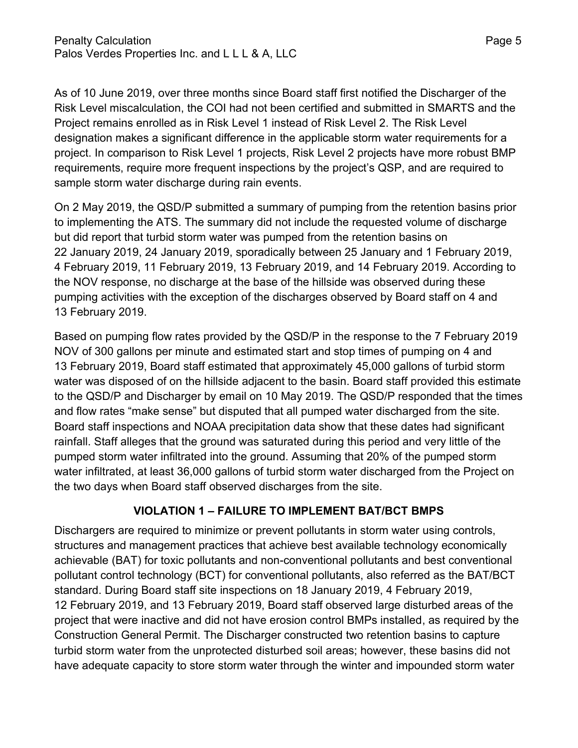As of 10 June 2019, over three months since Board staff first notified the Discharger of the Risk Level miscalculation, the COI had not been certified and submitted in SMARTS and the Project remains enrolled as in Risk Level 1 instead of Risk Level 2. The Risk Level designation makes a significant difference in the applicable storm water requirements for a project. In comparison to Risk Level 1 projects, Risk Level 2 projects have more robust BMP requirements, require more frequent inspections by the project's QSP, and are required to sample storm water discharge during rain events.

On 2 May 2019, the QSD/P submitted a summary of pumping from the retention basins prior to implementing the ATS. The summary did not include the requested volume of discharge but did report that turbid storm water was pumped from the retention basins on 22 January 2019, 24 January 2019, sporadically between 25 January and 1 February 2019, 4 February 2019, 11 February 2019, 13 February 2019, and 14 February 2019. According to the NOV response, no discharge at the base of the hillside was observed during these pumping activities with the exception of the discharges observed by Board staff on 4 and 13 February 2019.

Based on pumping flow rates provided by the QSD/P in the response to the 7 February 2019 NOV of 300 gallons per minute and estimated start and stop times of pumping on 4 and 13 February 2019, Board staff estimated that approximately 45,000 gallons of turbid storm water was disposed of on the hillside adjacent to the basin. Board staff provided this estimate to the QSD/P and Discharger by email on 10 May 2019. The QSD/P responded that the times and flow rates "make sense" but disputed that all pumped water discharged from the site. Board staff inspections and NOAA precipitation data show that these dates had significant rainfall. Staff alleges that the ground was saturated during this period and very little of the pumped storm water infiltrated into the ground. Assuming that 20% of the pumped storm water infiltrated, at least 36,000 gallons of turbid storm water discharged from the Project on the two days when Board staff observed discharges from the site.

# **VIOLATION 1 – FAILURE TO IMPLEMENT BAT/BCT BMPS**

Dischargers are required to minimize or prevent pollutants in storm water using controls, structures and management practices that achieve best available technology economically achievable (BAT) for toxic pollutants and non-conventional pollutants and best conventional pollutant control technology (BCT) for conventional pollutants, also referred as the BAT/BCT standard. During Board staff site inspections on 18 January 2019, 4 February 2019, 12 February 2019, and 13 February 2019, Board staff observed large disturbed areas of the project that were inactive and did not have erosion control BMPs installed, as required by the Construction General Permit. The Discharger constructed two retention basins to capture turbid storm water from the unprotected disturbed soil areas; however, these basins did not have adequate capacity to store storm water through the winter and impounded storm water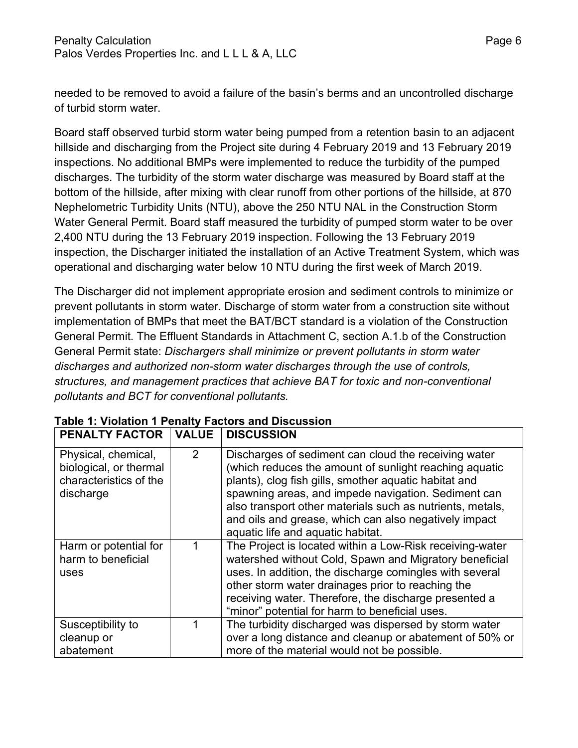needed to be removed to avoid a failure of the basin's berms and an uncontrolled discharge of turbid storm water.

Board staff observed turbid storm water being pumped from a retention basin to an adjacent hillside and discharging from the Project site during 4 February 2019 and 13 February 2019 inspections. No additional BMPs were implemented to reduce the turbidity of the pumped discharges. The turbidity of the storm water discharge was measured by Board staff at the bottom of the hillside, after mixing with clear runoff from other portions of the hillside, at 870 Nephelometric Turbidity Units (NTU), above the 250 NTU NAL in the Construction Storm Water General Permit. Board staff measured the turbidity of pumped storm water to be over 2,400 NTU during the 13 February 2019 inspection. Following the 13 February 2019 inspection, the Discharger initiated the installation of an Active Treatment System, which was operational and discharging water below 10 NTU during the first week of March 2019.

The Discharger did not implement appropriate erosion and sediment controls to minimize or prevent pollutants in storm water. Discharge of storm water from a construction site without implementation of BMPs that meet the BAT/BCT standard is a violation of the Construction General Permit. The Effluent Standards in Attachment C, section A.1.b of the Construction General Permit state: *Dischargers shall minimize or prevent pollutants in storm water discharges and authorized non-storm water discharges through the use of controls, structures, and management practices that achieve BAT for toxic and non-conventional pollutants and BCT for conventional pollutants.*

| <b>PENALTY FACTOR</b>                                                                | <b>VALUE</b>   | <b>DISCUSSION</b>                                                                                                                                                                                                                                                                                                                                                                         |
|--------------------------------------------------------------------------------------|----------------|-------------------------------------------------------------------------------------------------------------------------------------------------------------------------------------------------------------------------------------------------------------------------------------------------------------------------------------------------------------------------------------------|
| Physical, chemical,<br>biological, or thermal<br>characteristics of the<br>discharge | $\overline{2}$ | Discharges of sediment can cloud the receiving water<br>(which reduces the amount of sunlight reaching aquatic<br>plants), clog fish gills, smother aquatic habitat and<br>spawning areas, and impede navigation. Sediment can<br>also transport other materials such as nutrients, metals,<br>and oils and grease, which can also negatively impact<br>aquatic life and aquatic habitat. |
| Harm or potential for<br>harm to beneficial<br>uses                                  | 1              | The Project is located within a Low-Risk receiving-water<br>watershed without Cold, Spawn and Migratory beneficial<br>uses. In addition, the discharge comingles with several<br>other storm water drainages prior to reaching the<br>receiving water. Therefore, the discharge presented a<br>"minor" potential for harm to beneficial uses.                                             |
| Susceptibility to<br>cleanup or<br>abatement                                         | 1              | The turbidity discharged was dispersed by storm water<br>over a long distance and cleanup or abatement of 50% or<br>more of the material would not be possible.                                                                                                                                                                                                                           |

## **Table 1: Violation 1 Penalty Factors and Discussion**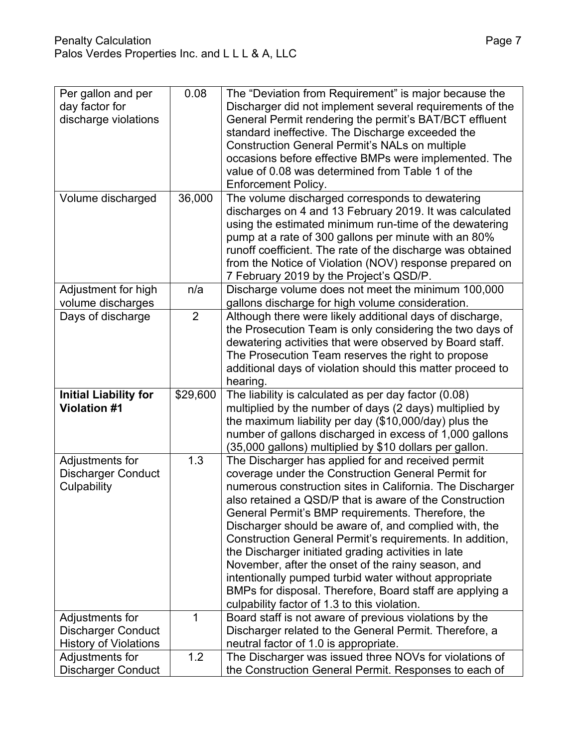| Per gallon and per           | 0.08           | The "Deviation from Requirement" is major because the      |
|------------------------------|----------------|------------------------------------------------------------|
| day factor for               |                | Discharger did not implement several requirements of the   |
| discharge violations         |                | General Permit rendering the permit's BAT/BCT effluent     |
|                              |                | standard ineffective. The Discharge exceeded the           |
|                              |                | <b>Construction General Permit's NALs on multiple</b>      |
|                              |                | occasions before effective BMPs were implemented. The      |
|                              |                | value of 0.08 was determined from Table 1 of the           |
|                              |                | <b>Enforcement Policy.</b>                                 |
| Volume discharged            | 36,000         | The volume discharged corresponds to dewatering            |
|                              |                | discharges on 4 and 13 February 2019. It was calculated    |
|                              |                | using the estimated minimum run-time of the dewatering     |
|                              |                | pump at a rate of 300 gallons per minute with an 80%       |
|                              |                | runoff coefficient. The rate of the discharge was obtained |
|                              |                | from the Notice of Violation (NOV) response prepared on    |
|                              |                | 7 February 2019 by the Project's QSD/P.                    |
| Adjustment for high          | n/a            | Discharge volume does not meet the minimum 100,000         |
| volume discharges            |                | gallons discharge for high volume consideration.           |
| Days of discharge            | $\overline{2}$ | Although there were likely additional days of discharge,   |
|                              |                | the Prosecution Team is only considering the two days of   |
|                              |                | dewatering activities that were observed by Board staff.   |
|                              |                | The Prosecution Team reserves the right to propose         |
|                              |                | additional days of violation should this matter proceed to |
|                              |                | hearing.                                                   |
| <b>Initial Liability for</b> | \$29,600       | The liability is calculated as per day factor (0.08)       |
| <b>Violation #1</b>          |                | multiplied by the number of days (2 days) multiplied by    |
|                              |                | the maximum liability per day (\$10,000/day) plus the      |
|                              |                | number of gallons discharged in excess of 1,000 gallons    |
|                              |                | (35,000 gallons) multiplied by \$10 dollars per gallon.    |
| Adjustments for              | 1.3            | The Discharger has applied for and received permit         |
| <b>Discharger Conduct</b>    |                | coverage under the Construction General Permit for         |
| Culpability                  |                | numerous construction sites in California. The Discharger  |
|                              |                | also retained a QSD/P that is aware of the Construction    |
|                              |                | General Permit's BMP requirements. Therefore, the          |
|                              |                | Discharger should be aware of, and complied with, the      |
|                              |                | Construction General Permit's requirements. In addition,   |
|                              |                | the Discharger initiated grading activities in late        |
|                              |                | November, after the onset of the rainy season, and         |
|                              |                | intentionally pumped turbid water without appropriate      |
|                              |                | BMPs for disposal. Therefore, Board staff are applying a   |
|                              |                | culpability factor of 1.3 to this violation.               |
| Adjustments for              | 1              | Board staff is not aware of previous violations by the     |
| <b>Discharger Conduct</b>    |                | Discharger related to the General Permit. Therefore, a     |
| <b>History of Violations</b> |                | neutral factor of 1.0 is appropriate.                      |
| Adjustments for              | 1.2            | The Discharger was issued three NOVs for violations of     |
| <b>Discharger Conduct</b>    |                | the Construction General Permit. Responses to each of      |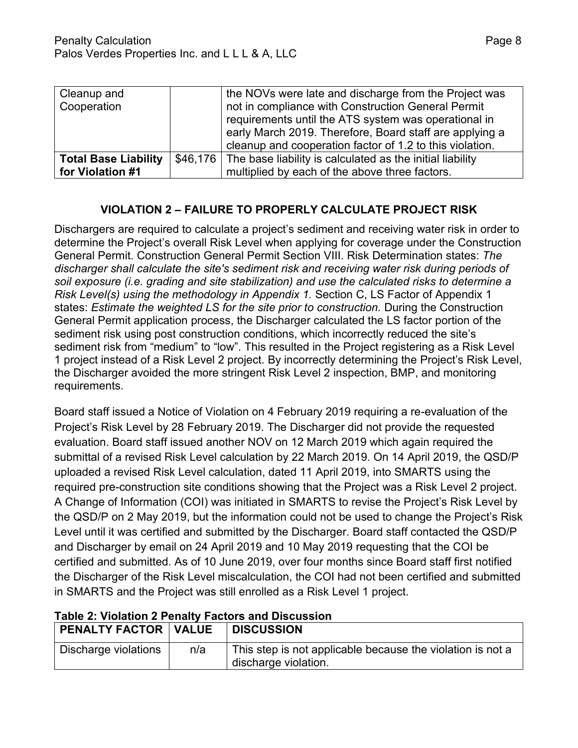| Cleanup and                 | the NOVs were late and discharge from the Project was              |
|-----------------------------|--------------------------------------------------------------------|
| Cooperation                 | not in compliance with Construction General Permit                 |
|                             | requirements until the ATS system was operational in               |
|                             | early March 2019. Therefore, Board staff are applying a            |
|                             | cleanup and cooperation factor of 1.2 to this violation.           |
| <b>Total Base Liability</b> | \$46,176 The base liability is calculated as the initial liability |
| for Violation #1            | multiplied by each of the above three factors.                     |

## **VIOLATION 2 – FAILURE TO PROPERLY CALCULATE PROJECT RISK**

Dischargers are required to calculate a project's sediment and receiving water risk in order to determine the Project's overall Risk Level when applying for coverage under the Construction General Permit. Construction General Permit Section VIII. Risk Determination states: *The discharger shall calculate the site's sediment risk and receiving water risk during periods of soil exposure (i.e. grading and site stabilization) and use the calculated risks to determine a Risk Level(s) using the methodology in Appendix 1.* Section C, LS Factor of Appendix 1 states: *Estimate the weighted LS for the site prior to construction.* During the Construction General Permit application process, the Discharger calculated the LS factor portion of the sediment risk using post construction conditions, which incorrectly reduced the site's sediment risk from "medium" to "low". This resulted in the Project registering as a Risk Level 1 project instead of a Risk Level 2 project. By incorrectly determining the Project's Risk Level, the Discharger avoided the more stringent Risk Level 2 inspection, BMP, and monitoring requirements.

Board staff issued a Notice of Violation on 4 February 2019 requiring a re-evaluation of the Project's Risk Level by 28 February 2019. The Discharger did not provide the requested evaluation. Board staff issued another NOV on 12 March 2019 which again required the submittal of a revised Risk Level calculation by 22 March 2019. On 14 April 2019, the QSD/P uploaded a revised Risk Level calculation, dated 11 April 2019, into SMARTS using the required pre-construction site conditions showing that the Project was a Risk Level 2 project. A Change of Information (COI) was initiated in SMARTS to revise the Project's Risk Level by the QSD/P on 2 May 2019, but the information could not be used to change the Project's Risk Level until it was certified and submitted by the Discharger. Board staff contacted the QSD/P and Discharger by email on 24 April 2019 and 10 May 2019 requesting that the COI be certified and submitted. As of 10 June 2019, over four months since Board staff first notified the Discharger of the Risk Level miscalculation, the COI had not been certified and submitted in SMARTS and the Project was still enrolled as a Risk Level 1 project.

| PENALTY FACTOR   VALUE |     | <b>DISCUSSION</b>                                                                  |
|------------------------|-----|------------------------------------------------------------------------------------|
| Discharge violations   | n/a | This step is not applicable because the violation is not a<br>discharge violation. |

### **Table 2: Violation 2 Penalty Factors and Discussion**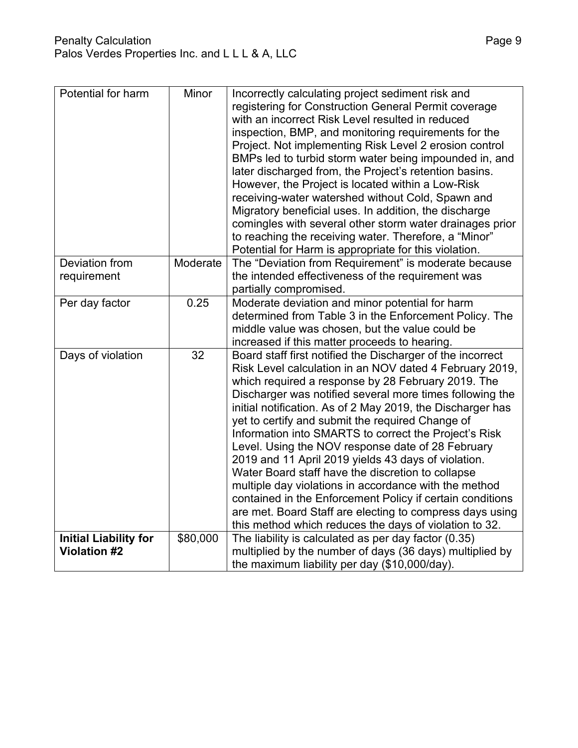| Potential for harm                                  | Minor    | Incorrectly calculating project sediment risk and<br>registering for Construction General Permit coverage<br>with an incorrect Risk Level resulted in reduced<br>inspection, BMP, and monitoring requirements for the<br>Project. Not implementing Risk Level 2 erosion control<br>BMPs led to turbid storm water being impounded in, and<br>later discharged from, the Project's retention basins.<br>However, the Project is located within a Low-Risk<br>receiving-water watershed without Cold, Spawn and<br>Migratory beneficial uses. In addition, the discharge<br>comingles with several other storm water drainages prior<br>to reaching the receiving water. Therefore, a "Minor"<br>Potential for Harm is appropriate for this violation.                                                                            |
|-----------------------------------------------------|----------|---------------------------------------------------------------------------------------------------------------------------------------------------------------------------------------------------------------------------------------------------------------------------------------------------------------------------------------------------------------------------------------------------------------------------------------------------------------------------------------------------------------------------------------------------------------------------------------------------------------------------------------------------------------------------------------------------------------------------------------------------------------------------------------------------------------------------------|
| Deviation from<br>requirement                       | Moderate | The "Deviation from Requirement" is moderate because<br>the intended effectiveness of the requirement was<br>partially compromised.                                                                                                                                                                                                                                                                                                                                                                                                                                                                                                                                                                                                                                                                                             |
| Per day factor                                      | 0.25     | Moderate deviation and minor potential for harm<br>determined from Table 3 in the Enforcement Policy. The<br>middle value was chosen, but the value could be<br>increased if this matter proceeds to hearing.                                                                                                                                                                                                                                                                                                                                                                                                                                                                                                                                                                                                                   |
| Days of violation                                   | 32       | Board staff first notified the Discharger of the incorrect<br>Risk Level calculation in an NOV dated 4 February 2019,<br>which required a response by 28 February 2019. The<br>Discharger was notified several more times following the<br>initial notification. As of 2 May 2019, the Discharger has<br>yet to certify and submit the required Change of<br>Information into SMARTS to correct the Project's Risk<br>Level. Using the NOV response date of 28 February<br>2019 and 11 April 2019 yields 43 days of violation.<br>Water Board staff have the discretion to collapse<br>multiple day violations in accordance with the method<br>contained in the Enforcement Policy if certain conditions<br>are met. Board Staff are electing to compress days using<br>this method which reduces the days of violation to 32. |
| <b>Initial Liability for</b><br><b>Violation #2</b> | \$80,000 | The liability is calculated as per day factor (0.35)<br>multiplied by the number of days (36 days) multiplied by<br>the maximum liability per day (\$10,000/day).                                                                                                                                                                                                                                                                                                                                                                                                                                                                                                                                                                                                                                                               |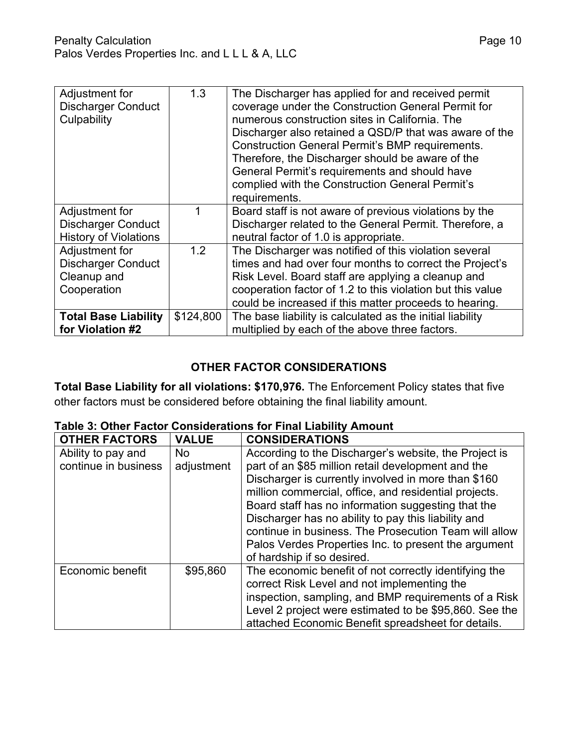| Adjustment for<br><b>Discharger Conduct</b><br>Culpability | 1.3       | The Discharger has applied for and received permit<br>coverage under the Construction General Permit for<br>numerous construction sites in California. The<br>Discharger also retained a QSD/P that was aware of the<br><b>Construction General Permit's BMP requirements.</b><br>Therefore, the Discharger should be aware of the<br>General Permit's requirements and should have<br>complied with the Construction General Permit's<br>requirements. |
|------------------------------------------------------------|-----------|---------------------------------------------------------------------------------------------------------------------------------------------------------------------------------------------------------------------------------------------------------------------------------------------------------------------------------------------------------------------------------------------------------------------------------------------------------|
| Adjustment for                                             |           | Board staff is not aware of previous violations by the                                                                                                                                                                                                                                                                                                                                                                                                  |
| <b>Discharger Conduct</b><br><b>History of Violations</b>  |           | Discharger related to the General Permit. Therefore, a<br>neutral factor of 1.0 is appropriate.                                                                                                                                                                                                                                                                                                                                                         |
| Adjustment for                                             | 1.2       | The Discharger was notified of this violation several                                                                                                                                                                                                                                                                                                                                                                                                   |
| <b>Discharger Conduct</b>                                  |           | times and had over four months to correct the Project's                                                                                                                                                                                                                                                                                                                                                                                                 |
| Cleanup and                                                |           | Risk Level. Board staff are applying a cleanup and                                                                                                                                                                                                                                                                                                                                                                                                      |
| Cooperation                                                |           | cooperation factor of 1.2 to this violation but this value                                                                                                                                                                                                                                                                                                                                                                                              |
|                                                            |           | could be increased if this matter proceeds to hearing.                                                                                                                                                                                                                                                                                                                                                                                                  |
| <b>Total Base Liability</b>                                | \$124,800 | The base liability is calculated as the initial liability                                                                                                                                                                                                                                                                                                                                                                                               |
| for Violation #2                                           |           | multiplied by each of the above three factors.                                                                                                                                                                                                                                                                                                                                                                                                          |

### **OTHER FACTOR CONSIDERATIONS**

**Total Base Liability for all violations: \$170,976.** The Enforcement Policy states that five other factors must be considered before obtaining the final liability amount.

| <b>OTHER FACTORS</b> | <b>VALUE</b> | <b>CONSIDERATIONS</b>                                  |
|----------------------|--------------|--------------------------------------------------------|
| Ability to pay and   | <b>No</b>    | According to the Discharger's website, the Project is  |
| continue in business | adjustment   | part of an \$85 million retail development and the     |
|                      |              | Discharger is currently involved in more than \$160    |
|                      |              | million commercial, office, and residential projects.  |
|                      |              | Board staff has no information suggesting that the     |
|                      |              | Discharger has no ability to pay this liability and    |
|                      |              | continue in business. The Prosecution Team will allow  |
|                      |              | Palos Verdes Properties Inc. to present the argument   |
|                      |              | of hardship if so desired.                             |
| Economic benefit     | \$95,860     | The economic benefit of not correctly identifying the  |
|                      |              | correct Risk Level and not implementing the            |
|                      |              | inspection, sampling, and BMP requirements of a Risk   |
|                      |              | Level 2 project were estimated to be \$95,860. See the |
|                      |              | attached Economic Benefit spreadsheet for details.     |

### **Table 3: Other Factor Considerations for Final Liability Amount**